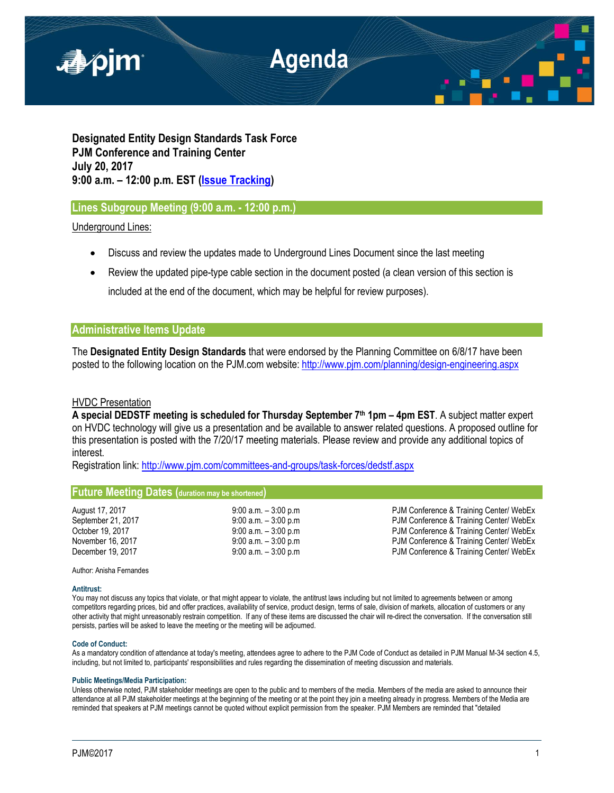

**Designated Entity Design Standards Task Force PJM Conference and Training Center July 20, 2017 9:00 a.m. – 12:00 p.m. EST [\(Issue Tracking\)](http://www.pjm.com/committees-and-groups/issue-tracking/issue-tracking-details.aspx?Issue=%7bE6133A76-DEC6-49DD-89E3-F5ECC642EA67%7d)**

## **Lines Subgroup Meeting (9:00 a.m. - 12:00 p.m.)**

Underground Lines:

- Discuss and review the updates made to Underground Lines Document since the last meeting
- Review the updated pipe-type cable section in the document posted (a clean version of this section is included at the end of the document, which may be helpful for review purposes).

## **Administrative Items Update**

The **Designated Entity Design Standards** that were endorsed by the Planning Committee on 6/8/17 have been posted to the following location on the PJM.com website:<http://www.pjm.com/planning/design-engineering.aspx>

### HVDC Presentation

**A special DEDSTF meeting is scheduled for Thursday September 7th 1pm – 4pm EST**. A subject matter expert on HVDC technology will give us a presentation and be available to answer related questions. A proposed outline for this presentation is posted with the 7/20/17 meeting materials. Please review and provide any additional topics of interest.

Registration link: <http://www.pjm.com/committees-and-groups/task-forces/dedstf.aspx>

# **Future Meeting Dates (duration may be shortened)**

August 17, 2017 **19:00 a.m. – 3:00 a.m. – 3:00 p.m** PJM Conference & Training Center/ WebEx September 21, 2017 **9:00 a.m. – 3:00 p.m PJM Conference & Training Center/ WebEx** October 19, 2017 **9:00 a.m. – 3:00 p.m PJM Conference & Training Center/ WebEx** November 16, 2017 **19:00 a.m. – 3:00 p.m** PJM Conference & Training Center/ WebEx December 19, 2017 **19:00 a.m.** – 3:00 p.m **PJM Conference & Training Center/ WebEx** 

Author: Anisha Fernandes

### **Antitrust:**

You may not discuss any topics that violate, or that might appear to violate, the antitrust laws including but not limited to agreements between or among competitors regarding prices, bid and offer practices, availability of service, product design, terms of sale, division of markets, allocation of customers or any other activity that might unreasonably restrain competition. If any of these items are discussed the chair will re-direct the conversation. If the conversation still persists, parties will be asked to leave the meeting or the meeting will be adjourned.

### **Code of Conduct:**

As a mandatory condition of attendance at today's meeting, attendees agree to adhere to the PJM Code of Conduct as detailed in PJM Manual M-34 section 4.5, including, but not limited to, participants' responsibilities and rules regarding the dissemination of meeting discussion and materials.

### **Public Meetings/Media Participation:**

Unless otherwise noted, PJM stakeholder meetings are open to the public and to members of the media. Members of the media are asked to announce their attendance at all PJM stakeholder meetings at the beginning of the meeting or at the point they join a meeting already in progress. Members of the Media are reminded that speakers at PJM meetings cannot be quoted without explicit permission from the speaker. PJM Members are reminded that "detailed